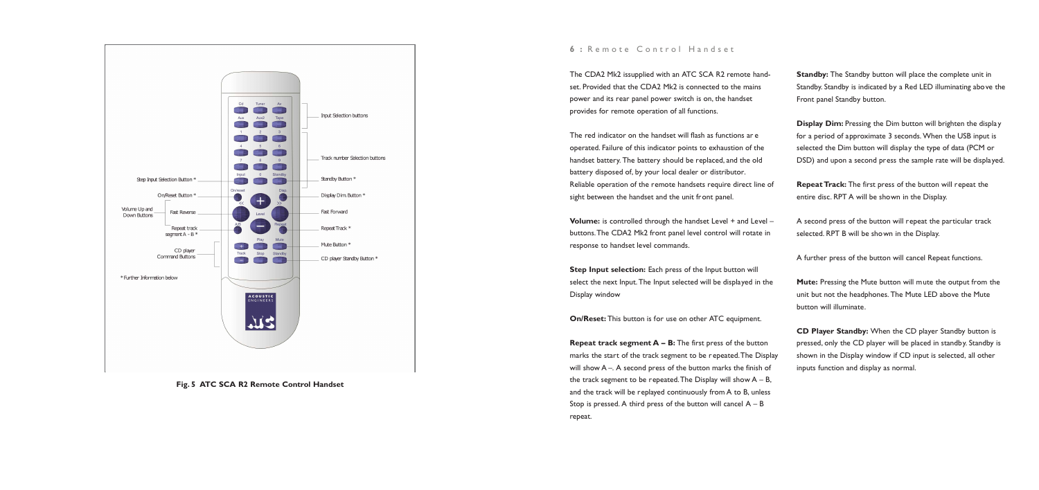## **6 :** Remote Control Handset

The CDA2 Mk2 issupplied with an ATC SCA R2 remote handset. Provided that the CDA2 Mk2 is connected to the mains power and its rear panel power switch is on, the handset provides for remote operation of all functions.

**Volume:** is controlled through the handset Level + and Level buttons. The CDA2 Mk2 front panel level control will rotate in response to handset level commands.

The red indicator on the handset will flash as functions ar e operated. Failure of this indicator points to exhaustion of the handset battery. The battery should be replaced, and the old battery disposed of, by your local dealer or distributor. Reliable operation of the remote handsets require direct line of sight between the handset and the unit front panel.

**Step Input selection:** Each press of the Input button will select the next Input. The Input selected will be displayed in the Display window

**Repeat track segment A – B:** The first press of the button marks the start of the track segment to be r epeated. The Display will show A –. A second press of the button marks the finish of the track segment to be repeated. The Display will show  $A - B$ , and the track will be replayed continuously from A to B, unless Stop is pressed. A third press of the button will cancel  $A - B$ repeat.

**Standby:** The Standby button will place the complete unit in Standby. Standby is indicated by a Red LED illuminating above the Front panel Standby button.

**Display Dim:** Pressing the Dim button will brighten the display for a period of approximate 3 seconds. When the USB input is selected the Dim button will display the type of data (PCM or DSD) and upon a second press the sample rate will be displayed.

**On/Reset:** This button is for use on other ATC equipment.



**Fig. 5 ATC SCA R2 Remote Control Handset**

**Repeat Track:** The first press of the button will repeat the entire disc. RPT A will be shown in the Display.

A second press of the button will repeat the particular track selected. RPT B will be shown in the Display.

A further press of the button will cancel Repeat functions.

**Mute:** Pressing the Mute button will mute the output from the unit but not the headphones. The Mute LED above the Mute button will illuminate.

**CD Player Standby:** When the CD player Standby button is pressed, only the CD player will be placed in standby. Standby is shown in the Display window if CD input is selected, all other inputs function and display as normal.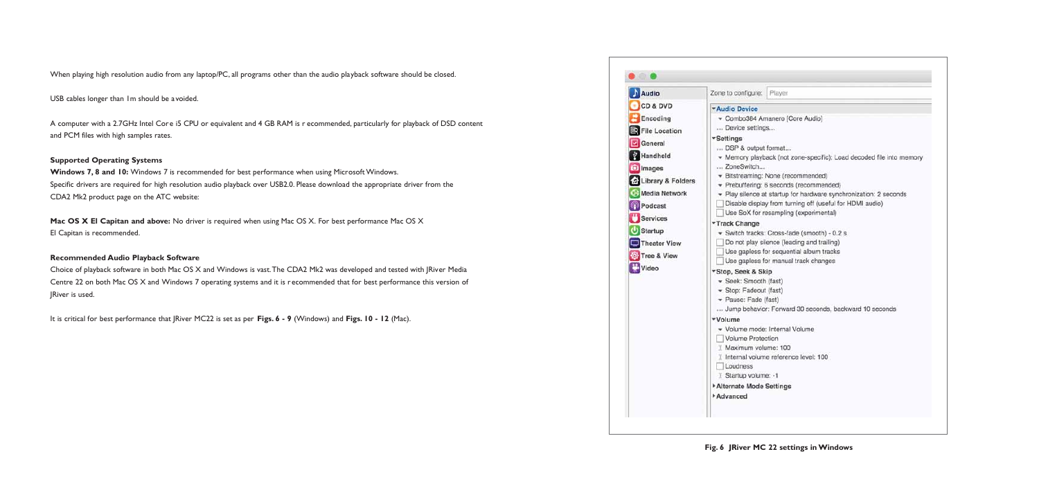When playing high resolution audio from any laptop/PC, all programs other than the audio playback software should be closed.

USB cables longer than 1m should be avoided.

A computer with a 2.7GHz Intel Core i5 CPU or equivalent and 4 GB RAM is r ecommended, particularly for playback of DSD content and PCM files with high samples rates.

### **Supported Operating Systems**

**Windows 7, 8 and 10:** Windows 7 is recommended for best performance when using Microsoft Windows. Specific drivers are required for high resolution audio playback over USB2.0. Please download the appropriate driver from the CDA2 Mk2 product page on the ATC website:

**Mac OS X El Capitan and above:** No driver is required when using Mac OS X. For best performance Mac OS X El Capitan is recommended.

### **Recommended Audio Playback Software**

Choice of playback software in both Mac OS X and Windows is vast. The CDA2 Mk2 was developed and tested with JRiver Media Centre 22 on both Mac OS X and Windows 7 operating systems and it is r ecommended that for best performance this version of JRiver is used.

It is critical for best performance that JRiver MC22 is set as per **Figs. 6 - 9** (Windows) and **Figs. 10 - 12** (Mac).

| <b>Audio</b>                                                                                                                                                                                                     | Player<br>Zone to configure:                                                                                                                                                                                                                                                                                                                                                                                                                                                                                                                                                                                                                                                                                              |
|------------------------------------------------------------------------------------------------------------------------------------------------------------------------------------------------------------------|---------------------------------------------------------------------------------------------------------------------------------------------------------------------------------------------------------------------------------------------------------------------------------------------------------------------------------------------------------------------------------------------------------------------------------------------------------------------------------------------------------------------------------------------------------------------------------------------------------------------------------------------------------------------------------------------------------------------------|
| CD & DVD<br>Encoding<br>File Location<br>General<br>Handheld<br>O Images<br><b>A Library &amp; Folders</b><br>Media Network<br>Podcast<br>Services<br>U Startup<br>Theater View<br><b>O</b> Tree & View<br>Video | *Audio Device<br>- Combo384 Amanero [<br>Device settings<br>▼Settings<br>DSP & output format<br>- Memory playback (not<br>ZoneSwitch<br>· Bitstreaming: None (re<br>* Prebuffering: 6 second<br>- Play silence at startup<br>Disable display from tu<br>Use SoX for resamplin<br>*Track Change<br>- Switch tracks: Cross-fa<br>Do not play silence (le<br>Use gapless for seque<br>Use gapless for manua<br>*Stop, Seek & Skip<br>· Seek: Smooth (fast)<br>Stop: Fadeout (fast)<br>Pause: Fade (fast)<br>Jump behavior: Forwa<br>*Volume<br>v Volume mode: Interna<br>Volume Protection<br>I Maximum volume: 100<br>I Internal volume referer<br>Loudness<br>I Startup volume: - 1<br>Alternate Mode Settings<br>Advanced |

Core Audio] zone-specific): Load decoded file into memory ecommended) ds (recommended) for hardware synchronization: 2 seconds urning off (useful for HDMI audio) ng (experimental) fade (smooth) - 0.2 s ading and trailing) ential album tracks al track changes ard 30 seconds, backward 10 seconds al Volume ence level: 100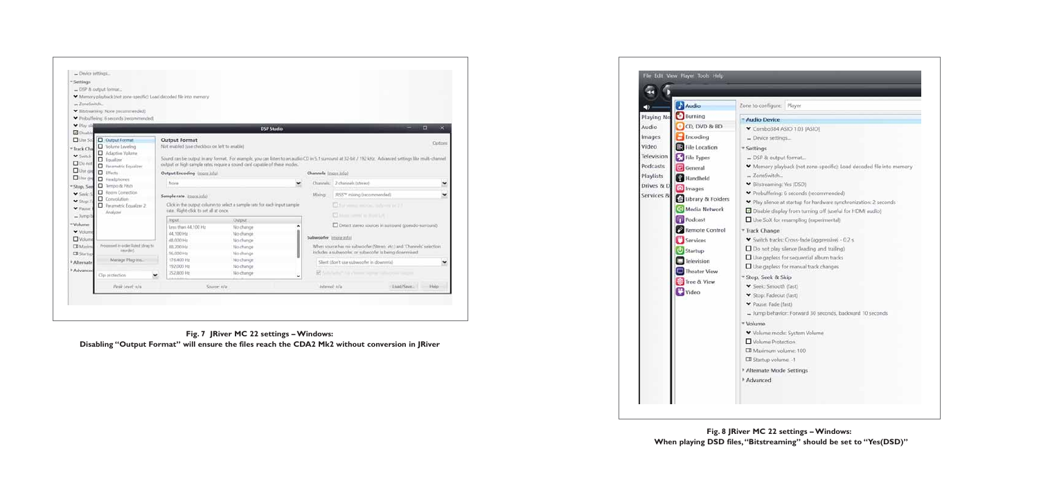| - Device settings<br>* Settings                                               | - DSP & output format                                                                                                                                 |                                                                      |                                                                                                                                                                                                                                     |                       |                                                                                                                               |                   |  |  |
|-------------------------------------------------------------------------------|-------------------------------------------------------------------------------------------------------------------------------------------------------|----------------------------------------------------------------------|-------------------------------------------------------------------------------------------------------------------------------------------------------------------------------------------------------------------------------------|-----------------------|-------------------------------------------------------------------------------------------------------------------------------|-------------------|--|--|
| - ZoneSwitch                                                                  | M. Memory playback (not zone-specific): Load decoded file into memory<br>. Hitsbraming: None (recommended)<br>* Prebuffering: 6 seconds (recommended) |                                                                      |                                                                                                                                                                                                                                     |                       |                                                                                                                               |                   |  |  |
| ₩ Play sile<br><b>Ed</b> Disable                                              |                                                                                                                                                       |                                                                      | <b>DSP Studio</b>                                                                                                                                                                                                                   |                       |                                                                                                                               | σ<br>×            |  |  |
| $\Box$ Use So.<br>* Irack Cha<br>♥ Switch<br>$\Box$ De not<br><b>D</b> Use on | <b>Q</b> Output Format<br>Volume Leveling<br>Adaptive Volume<br><b>D</b> Tqualizer<br>Parametric Equatory                                             | <b>Output Format</b><br>Not mubled juse checkbox on left to enable). | Sound can be nutput in any format. For example, you can listen to an audio CD in 5.1 surround at 32-bit / 192 kHz. Advanced settings like multi-channel<br>output or high sample rates require a sound card capable of these modes. |                       |                                                                                                                               | Oction            |  |  |
| <b>D</b> Usir day                                                             | <b>D</b> Effects<br><b>D</b> Healphones                                                                                                               | Output Encoding (more info)                                          |                                                                                                                                                                                                                                     | Channels (more info)  |                                                                                                                               |                   |  |  |
| * Stop, See                                                                   | Timpo & Pitch<br>Reem Correction                                                                                                                      | None                                                                 |                                                                                                                                                                                                                                     | Mixing                | Channels: 2 channels (stereo)<br>JRSS™ mixing (recommended)                                                                   | ×<br>$\checkmark$ |  |  |
| V Seeler!                                                                     |                                                                                                                                                       |                                                                      |                                                                                                                                                                                                                                     |                       | El farstma mode, internazi il                                                                                                 |                   |  |  |
| V Stop<br><b>▼ Pause</b>                                                      | Convolution<br>Parametric Equation 2.<br>Analyzer                                                                                                     | Sample rate (more info)<br>rate. Right-click to set all at once.     | Click in the output column to select a sample rate for each input sample                                                                                                                                                            |                       |                                                                                                                               |                   |  |  |
| $-$ Jurrigi<br>= Volume<br>₩ Volume                                           |                                                                                                                                                       | lopist.<br>Less than 44 100 Hz<br>44,100 Hz                          | Output:<br>No change<br>No change                                                                                                                                                                                                   |                       | <b>Gines and is for Lit</b><br>Distochatered cources in surround (pseudo-surround):                                           |                   |  |  |
| <b>D</b> Volume<br><b>CB</b> Maxim                                            | Processed in order listed (thrap to<br>reorder).                                                                                                      | 48,000 Hz<br>88,200 Hz                                               | No change<br>No change                                                                                                                                                                                                              | Subwoofer imore info! | When source has no subwoofer (Stereo, etc.) and 'Channels' selection<br>indudes a subwoofer, or subwoofer is being downmised: |                   |  |  |
|                                                                               | Mariage Plug-ins.                                                                                                                                     | 96.000 Hz<br>176,400 Hz                                              | No change<br>No change:                                                                                                                                                                                                             |                       | Slient (don't use subwoofer in downmid-                                                                                       | ×                 |  |  |
| <b>CR Startup</b><br>* Alternate<br><sup>F</sup> Advanced                     | City protection:                                                                                                                                      | 192,000 Hz<br>352,800 Hz                                             | No change<br>No change<br>¥                                                                                                                                                                                                         |                       |                                                                                                                               |                   |  |  |

# Fig. 7 JRiver MC 22 settings - Windows:

Disabling "Output Format" will ensure the files reach the CDA2 Mk2 without conversion in JRiver

| File Edit View Player Tools Help<br>Audio<br>∙<br><b>Burning</b><br>Playing No<br>Audio<br>Images<br>Video<br>File Location<br>Television<br>File Types<br>Podcasts<br>General<br>Playlists<br>Drives & D<br><b>O</b> Images<br>Services &<br>A Library & Folders<br>Media Network<br>Podcast<br>Remote Control<br>Services<br><sup>U</sup> Startup<br>Theater View<br><sup>O</sup> Tree & View<br>Video |
|----------------------------------------------------------------------------------------------------------------------------------------------------------------------------------------------------------------------------------------------------------------------------------------------------------------------------------------------------------------------------------------------------------|
|----------------------------------------------------------------------------------------------------------------------------------------------------------------------------------------------------------------------------------------------------------------------------------------------------------------------------------------------------------------------------------------------------------|

### Player

[OI2A] ED.1 OI2A kgs...

ut format... yback (not zone-specific): Load decoded file into memory

Nes (DSD)

6 seconds (recommended)

at startup for hardware synchronization: 2 seconds

lay from turning off (useful for HDMI audio)

resampling (experimental)

s: Cross-fade (aggressive) - 0.2 s

silence (leading and trailing)

for sequential album tracks

for manual track changes

### Skip

th (fast)

ut (fast)

(fast)

ior: Forward 30 seconds, backward 10 seconds

de: System Volume ection

blume: 100

me: 1

le Settings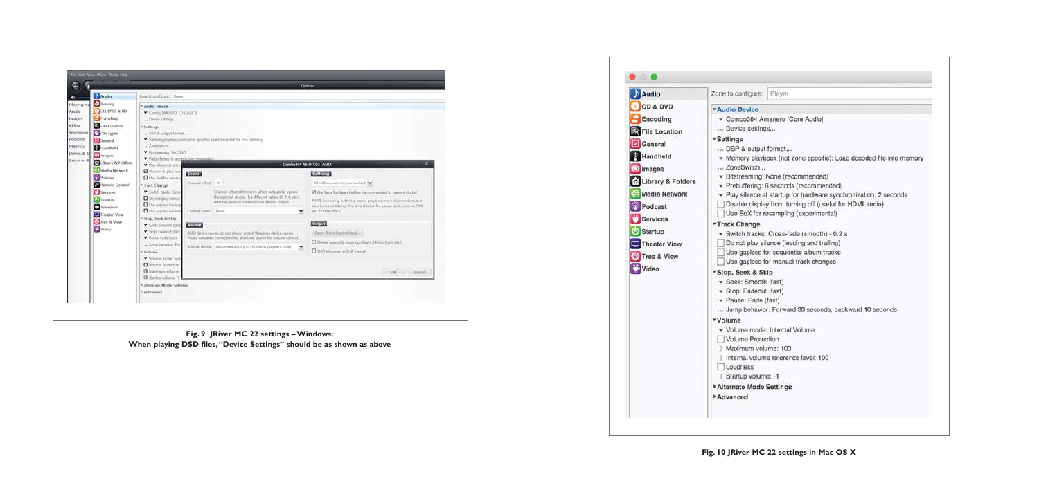

Fig. 9 JRiver MC 22 settings - Windows: When playing DSD files, "Device Settings" should be as shown as above



- Memory playback (not zone-specific): Load decoded file into memory

- Play silence at startup for hardware synchronization: 2 seconds

Disable display from turning off (useful for HDMI audio)

... Jump behavior: Forward 30 seconds, backward 10 seconds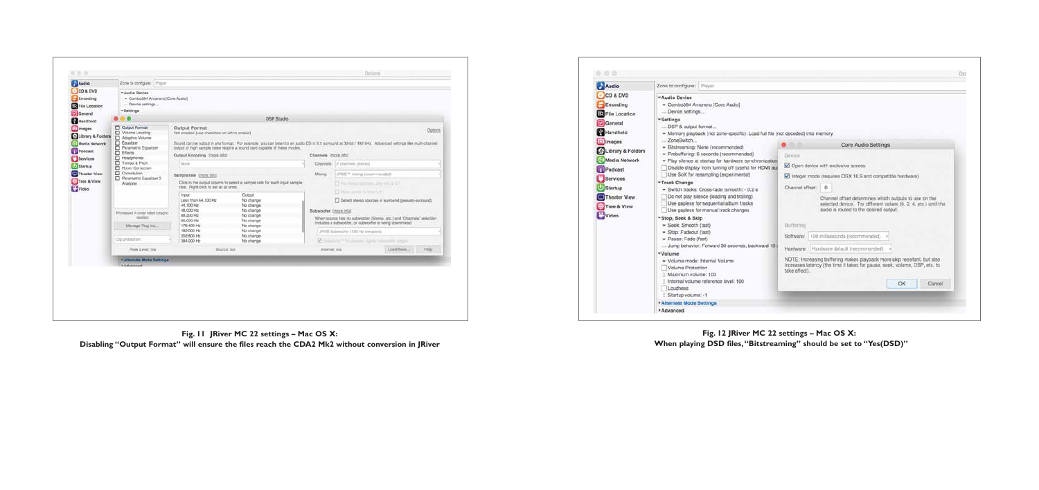**Fig. 12 JRiver MC 22 settings – Mac OS X: When playing DSD files, "Bitstreaming" should be set to "Yes(DSD)"**

| decoded) into memory                                                                                                                                                 |
|----------------------------------------------------------------------------------------------------------------------------------------------------------------------|
| Core Audio Settings                                                                                                                                                  |
|                                                                                                                                                                      |
| Open device with exclusive access                                                                                                                                    |
| Integer mode (requires OSX 10.9 and compatible hardware)                                                                                                             |
| Channel offset:<br>ö                                                                                                                                                 |
| Channel offset determines which outputs to use on the<br>selected device. Try different values (0, 2, 4, etc.) until the<br>audio is routed to the desired output.   |
|                                                                                                                                                                      |
| 100 miliseconds (recommended)                                                                                                                                        |
| Hardware default (recommended) >                                                                                                                                     |
| VOTE: Increasing buffering makes playback more skip resistant, but also<br>noreases latency (the time it takes for pause, seek, volume, DSP, etc. to<br>ake effect). |
|                                                                                                                                                                      |

| Audio                                                             | Zone to configure: Player                                                                  |                                                                                                                   |                                                                                                                                                                                                                                     |                                                          |                                                                                      |           |         |
|-------------------------------------------------------------------|--------------------------------------------------------------------------------------------|-------------------------------------------------------------------------------------------------------------------|-------------------------------------------------------------------------------------------------------------------------------------------------------------------------------------------------------------------------------------|----------------------------------------------------------|--------------------------------------------------------------------------------------|-----------|---------|
| $CO$ & DVD<br>Encoding<br><b>De</b> File Location<br>General      | * Audio Device<br>· Combo384 Amaners [Core Audio]<br>Device settings<br>*Settings          |                                                                                                                   |                                                                                                                                                                                                                                     |                                                          |                                                                                      |           |         |
| Handheld                                                          |                                                                                            |                                                                                                                   | DSP Studio                                                                                                                                                                                                                          |                                                          |                                                                                      |           |         |
| <b>CO</b> Images<br>3 Library & Folders<br><b>C Media Network</b> | Output Format<br>Volume Leveling<br>Adaptive Volume<br>Equatizer<br>E Parametric Equatizer | Output Format<br>Net enabled june checkbox on left to enable).                                                    | Sound can be output in any format. For example, you can listen to an audio CD in 5.1 surround at 32-bit / 192 kHz. Advanced settings like multi-channel<br>output or high sample rates require a sound card capable of these modes. |                                                          |                                                                                      |           | Options |
| Podcast<br>Services                                               | $\overline{\Box}$ Effects<br>Headphones                                                    | Output Encoding (more init)                                                                                       |                                                                                                                                                                                                                                     | Channels (more info)                                     |                                                                                      |           |         |
| U Startup                                                         | Tempo & Pitch                                                                              | Nove.                                                                                                             |                                                                                                                                                                                                                                     |                                                          | Channels: 2 channels (stared)                                                        |           |         |
| Theater View                                                      | Room Correction                                                                            | Sample rate linces infol-                                                                                         |                                                                                                                                                                                                                                     | Marx:                                                    | JPISS <sup>-4</sup> mixing (incommended)                                             |           |         |
| Tree & View<br><b>C</b> Video                                     | Parametric Equalizer 2<br>Analyzer.                                                        | Click in the output column to select a sample rate for each input sample<br>rate. Right-click to set all at once. |                                                                                                                                                                                                                                     |                                                          | TT FO women provided and you in LT.                                                  |           |         |
|                                                                   |                                                                                            | <i>Input</i><br>Less than 44,100 Hz<br>44,100 Hz<br>48.000 Hz                                                     | Оидыл.<br>No change<br>No change                                                                                                                                                                                                    |                                                          | [7] House spring to front LHC<br>Detect stereo sources in surround (pseudo-surround) |           |         |
|                                                                   | Processed in order listed (drag to<br>1- America's                                         | 88, 200 Hz<br>98,000 Hz                                                                                           | No change<br>No change<br>No change                                                                                                                                                                                                 | Sutwoofer (more info)                                    | When source has no subwepter (Stereo, etc.) and 'Charmels' selection.                |           |         |
|                                                                   | Manage Plug-ins                                                                            | 176,400 Hz                                                                                                        | No change                                                                                                                                                                                                                           | includes a subwoorler, or subwoorler is being downmixed. |                                                                                      |           |         |
|                                                                   |                                                                                            | 192,000 Hz<br>No change<br>352 800 Hz<br>No change                                                                |                                                                                                                                                                                                                                     | JRSS Subwoorter (120 Hz low-pass)                        |                                                                                      |           |         |
|                                                                   | Clip protection.                                                                           | 384.000 Hz                                                                                                        | No change                                                                                                                                                                                                                           |                                                          | 57 Sciences * To allow hall be a monthly lighter                                     |           |         |
|                                                                   | Peak Levet nrs.                                                                            | Source: IVA                                                                                                       |                                                                                                                                                                                                                                     | Internat: nra                                            |                                                                                      | Load Save | Fergy   |
|                                                                   | <b>KAlternate Mode Settings</b>                                                            |                                                                                                                   |                                                                                                                                                                                                                                     |                                                          |                                                                                      |           |         |
|                                                                   | <b>Literature</b>                                                                          |                                                                                                                   |                                                                                                                                                                                                                                     |                                                          |                                                                                      |           |         |
|                                                                   |                                                                                            |                                                                                                                   |                                                                                                                                                                                                                                     |                                                          |                                                                                      |           |         |
|                                                                   |                                                                                            |                                                                                                                   |                                                                                                                                                                                                                                     |                                                          |                                                                                      |           |         |
|                                                                   |                                                                                            |                                                                                                                   |                                                                                                                                                                                                                                     |                                                          |                                                                                      |           |         |
|                                                                   |                                                                                            |                                                                                                                   |                                                                                                                                                                                                                                     |                                                          |                                                                                      |           |         |

| Audio                                                                                                                                                                                                    | Zone to configure: Player                                                                                                                                                                                                                                                                                                                 |                                                                                                                                                                                                                                                                                                                                                                                                                                                                                                                                                                                                                                                                    |
|----------------------------------------------------------------------------------------------------------------------------------------------------------------------------------------------------------|-------------------------------------------------------------------------------------------------------------------------------------------------------------------------------------------------------------------------------------------------------------------------------------------------------------------------------------------|--------------------------------------------------------------------------------------------------------------------------------------------------------------------------------------------------------------------------------------------------------------------------------------------------------------------------------------------------------------------------------------------------------------------------------------------------------------------------------------------------------------------------------------------------------------------------------------------------------------------------------------------------------------------|
| CD & DVD<br>Encoding<br>File Location<br>General<br>Handheld<br>O Images<br>A Library & Folders<br>Media Network<br>Podcast<br><b>Services</b><br>Startup<br><b>Theater View</b><br>Tree & View<br>Video | *Audio Device<br>Device settings<br>*Settings<br>DSP & output format<br>ZoneSwitch<br>*Track Change<br>*Stop, Seek & Skip<br>- Seek: Smooth (fast)<br>- Stop: Fadeout (fast)<br>- Pause: Fade (fast)<br>*Volume<br>Volume Protection<br>Maximum volume: 100<br>Loudness<br>I. Startup volume: -1<br>* Alternate Mode Settings<br>Advanced | - Combo384 Amanero [Core Audio]<br>- Memory playback (not zone-specific): Load full file (not deci<br>- Bitstreaming: None (recommended)<br>· Prebuffering: 6 seconds (recommended)<br>- Play silence at startup for hardware synchronization<br>Disable display from turning off (useful for HDMI au)<br>Use SoX for resampling (experimental)<br>> Switch tracks: Cross-fade (smooth) - 0.2 s.<br>Do not play silence (leading and trailing)<br>Use gapless for sequential album tracks<br>Use gapless for manual track changes<br>Jump behavior: Forward 30 seconds, backward 10 is<br>· Volume mode: Internal Volume<br>1 Internal volume reference level: 100 |

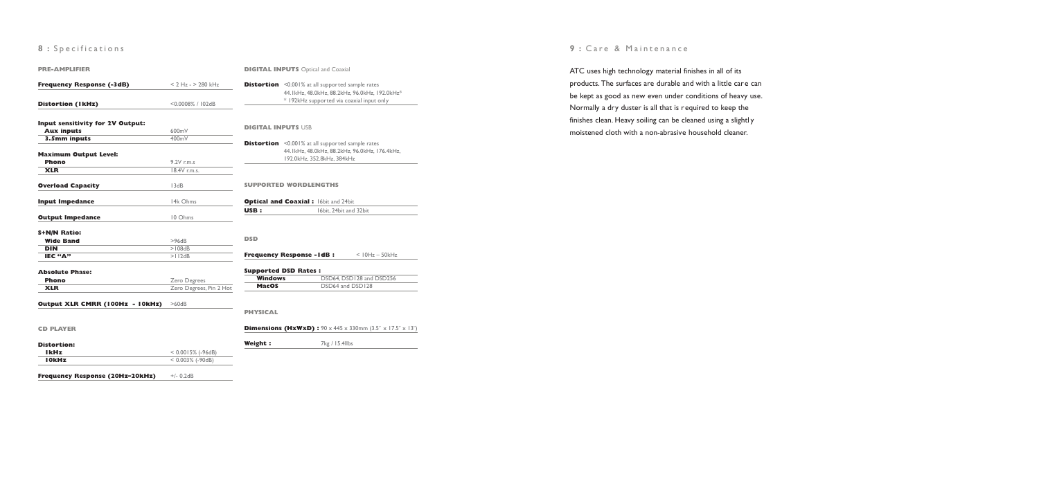# **8 :** Specifications

**Frequency Response (20Hz–20kHz)** +/- 0.2dB

## **9 :** Care & Maintenance

| <b>PRE-AMPLIFIER</b>                    |                         | <b>DIGITAL INPUTS</b> Optical and Coaxial |                                                                                                           |  |
|-----------------------------------------|-------------------------|-------------------------------------------|-----------------------------------------------------------------------------------------------------------|--|
| <b>Frequency Response (-3dB)</b>        | $< 2$ Hz - $> 280$ kHz  |                                           | <b>Distortion</b> <0.001% at all supported sample rates<br>44. IkHz, 48.0kHz, 88.2kHz, 96.0kHz, 192.0kHz* |  |
| <b>Distortion (IkHz)</b>                | $<$ 0.0008% / 102dB     |                                           | * 192kHz supported via coaxial input only                                                                 |  |
| <b>Input sensitivity for 2V Output:</b> |                         | <b>DIGITAL INPUTS USB</b>                 |                                                                                                           |  |
| <b>Aux inputs</b>                       | 600mV                   |                                           |                                                                                                           |  |
| 3.5mm inputs                            | 400mV                   |                                           | <b>Distortion</b> <0.001% at all supported sample rates                                                   |  |
| <b>Maximum Output Level:</b>            |                         |                                           | 44. IkHz, 48. 0kHz, 88. 2kHz, 96. 0kHz, 176. 4kHz,                                                        |  |
| Phono                                   | $9.2V$ r.m.s            |                                           | 192.0kHz, 352.8kHz, 384kHz                                                                                |  |
| <b>XLR</b>                              | 18.4V r.m.s.            |                                           |                                                                                                           |  |
| <b>Overload Capacity</b>                | 13dB                    | <b>SUPPORTED WORDLENGTHS</b>              |                                                                                                           |  |
| <b>Input Impedance</b>                  | 14k Ohms                |                                           | <b>Optical and Coaxial: 16bit and 24bit</b>                                                               |  |
|                                         |                         | USB:                                      | 16bit, 24bit and 32bit                                                                                    |  |
| <b>Output Impedance</b>                 | 10 Ohms                 |                                           |                                                                                                           |  |
| <b>S+N/N Ratio:</b>                     |                         |                                           |                                                                                                           |  |
| <b>Wide Band</b>                        | >96dB                   | <b>DSD</b>                                |                                                                                                           |  |
| <b>DIN</b>                              | >108dB                  |                                           |                                                                                                           |  |
| IEC "A"                                 | >112dB                  |                                           | <b>Frequency Response - IdB:</b><br>$<$ $10Hz - 50kHz$                                                    |  |
| <b>Absolute Phase:</b>                  |                         |                                           | <b>Supported DSD Rates:</b>                                                                               |  |
| <b>Phono</b>                            | Zero Degrees            | <b>Windows</b>                            | DSD64, DSD128 and DSD256                                                                                  |  |
| <b>XLR</b>                              | Zero Degrees, Pin 2 Hot | <b>MacOS</b>                              | DSD64 and DSD128                                                                                          |  |
| Output XLR CMRR (100Hz - 10kHz)         | >60dB                   |                                           |                                                                                                           |  |
|                                         |                         | <b>PHYSICAL</b>                           |                                                                                                           |  |
| <b>CD PLAYER</b>                        |                         |                                           | <b>Dimensions (HxWxD):</b> $90 \times 445 \times 330$ mm (3.5" x 17.5"                                    |  |

ATC uses high technology material finishes in all of its products. The surfaces are durable and with a little care can be kept as good as new even under conditions of heavy use. Normally a dry duster is all that is required to keep the finishes clean. Heavy soiling can be cleaned using a slightl y moistened cloth with a non-abrasive household cleaner.

| <b>CD PLAYER</b> |                      |         | <b>Dimensions (HxWxD) :</b> $90 \times 445 \times 330$ mm (3.5" x 17.5" x 13") |
|------------------|----------------------|---------|--------------------------------------------------------------------------------|
| Distortion:      |                      | Weight: | $7$ kg / $15.4$ Ilbs                                                           |
| I kHz            | $< 0.0015\%$ (-96dB) |         |                                                                                |
| <b>IOKHZ</b>     | $<$ 0.003% (-90dB)   |         |                                                                                |